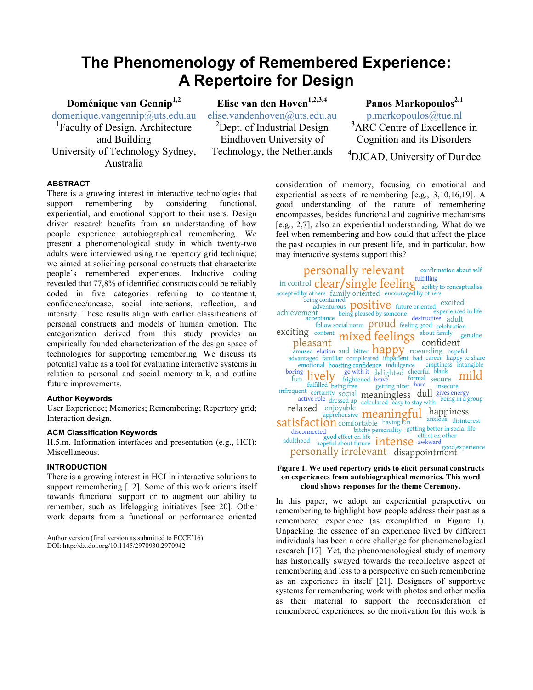# **The Phenomenology of Remembered Experience: A Repertoire for Design**

**Doménique van Gennip1,2**

domenique.vangennip@uts.edu.au <sup>1</sup> Faculty of Design, Architecture and Building University of Technology Sydney, Australia

**Elise van den Hoven1,2,3,4** elise.vandenhoven@uts.edu.au  ${}^{2}$ Dept. of Industrial Design Eindhoven University of Technology, the Netherlands

**Panos Markopoulos2,1** p.markopoulos@tue.nl **3** ARC Centre of Excellence in Cognition and its Disorders **4** DJCAD, University of Dundee

# **ABSTRACT**

There is a growing interest in interactive technologies that support remembering by considering functional, experiential, and emotional support to their users. Design driven research benefits from an understanding of how people experience autobiographical remembering. We present a phenomenological study in which twenty-two adults were interviewed using the repertory grid technique; we aimed at soliciting personal constructs that characterize people's remembered experiences. Inductive coding revealed that 77,8% of identified constructs could be reliably coded in five categories referring to contentment, confidence/unease, social interactions, reflection, and intensity. These results align with earlier classifications of personal constructs and models of human emotion. The categorization derived from this study provides an empirically founded characterization of the design space of technologies for supporting remembering. We discuss its potential value as a tool for evaluating interactive systems in relation to personal and social memory talk, and outline future improvements.

# **Author Keywords**

User Experience; Memories; Remembering; Repertory grid; Interaction design.

# **ACM Classification Keywords**

H.5.m. Information interfaces and presentation (e.g., HCI): Miscellaneous.

# **INTRODUCTION**

There is a growing interest in HCI in interactive solutions to support remembering [12]. Some of this work orients itself towards functional support or to augment our ability to remember, such as lifelogging initiatives [see 20]. Other work departs from a functional or performance oriented

Author version (final version as submitted to ECCE'16) DOI: http://dx.doi.org/10.1145/2970930.2970942

consideration of memory, focusing on emotional and experiential aspects of remembering [e.g., 3,10,16,19]. A good understanding of the nature of remembering encompasses, besides functional and cognitive mechanisms [e.g., 2,7], also an experiential understanding. What do we feel when remembering and how could that affect the place the past occupies in our present life, and in particular, how may interactive systems support this?

personally relevant confirmation about self in control  $\text{clear}/\text{single}$  feeling ability to conceptualise accepted by others family oriented encouraged by others being contained ed<br>being pleased by someone excited adventurous experienced in life achievement acceptance <sup>of</sup>  $\frac{1}{\sqrt{1-\frac{1}{\sqrt{1-\frac{1}{\sqrt{1-\frac{1}{\sqrt{1-\frac{1}{\sqrt{1-\frac{1}{\sqrt{1-\frac{1}{\sqrt{1-\frac{1}{\sqrt{1-\frac{1}{\sqrt{1-\frac{1}{\sqrt{1-\frac{1}{\sqrt{1-\frac{1}{\sqrt{1-\frac{1}{\sqrt{1-\frac{1}{\sqrt{1-\frac{1}{\sqrt{1-\frac{1}{\sqrt{1-\frac{1}{\sqrt{1-\frac{1}{\sqrt{1-\frac{1}{\sqrt{1-\frac{1}{\sqrt{1-\frac{1}{\sqrt{1-\frac{1}{\sqrt{1-\frac{1}{\sqrt$ adult plance<br>follow social norm **proud** feeling good celebration exciting content mixed feelings about family <sub>genuine</sub> pleasant predisented between the present contract to the present of the present of the present of the present of the same set of the set of the set of the set of the set of the set of the set of the set of the set of the set of the emptiness career happy to share advantaged familiar complicated impatient bad intangible emotional indulgence blank boring  $\lim_{\epsilon \to 0}$   $\frac{1}{2}$  go with it delighted cheerful blank<br>formal secure mild go with it delighted cheerful lively so with it delighted cheerful<br>formal secure frightened brave getting nicer hard being free insecure infrequent certainty social meaningless dull gives energy active role dressed up calculated easy to stay with being in a group relaxed enjoyable<br>
satisfaction comfortable having full happiness<br>
satisfaction comfortable having function estate in social life enjoyable<br><sub>upprehensive</sub> meaningful apprehensive having fun comfortable disconnected bitchy personality getting better in social life bitchy personality  $\frac{\text{good effect on life}}{\text{higher}}$  intense  $\frac{1}{2}$ adulthood  $\frac{1}{2}$ <sub>honeful about future</sub>  $\frac{1}{2}$   $\frac{1}{2}$  awkward good experience personally irrelevant disappointment

#### **Figure 1. We used repertory grids to elicit personal constructs on experiences from autobiographical memories. This word cloud shows responses for the theme Ceremony.**

In this paper, we adopt an experiential perspective on remembering to highlight how people address their past as a remembered experience (as exemplified in Figure 1). Unpacking the essence of an experience lived by different individuals has been a core challenge for phenomenological research [17]. Yet, the phenomenological study of memory has historically swayed towards the recollective aspect of remembering and less to a perspective on such remembering as an experience in itself [21]. Designers of supportive systems for remembering work with photos and other media as their material to support the reconsideration of remembered experiences, so the motivation for this work is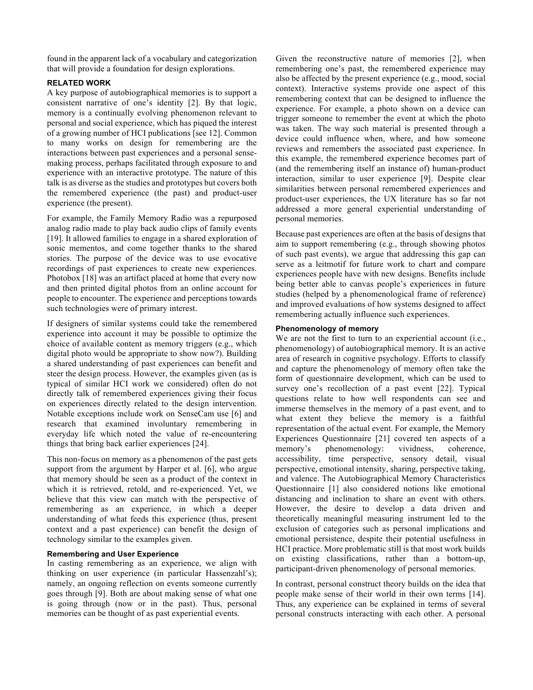found in the apparent lack of a vocabulary and categorization that will provide a foundation for design explorations.

# **RELATED WORK**

A key purpose of autobiographical memories is to support a consistent narrative of one's identity [2]. By that logic, memory is a continually evolving phenomenon relevant to personal and social experience, which has piqued the interest of a growing number of HCI publications [see 12]. Common to many works on design for remembering are the interactions between past experiences and a personal sensemaking process, perhaps facilitated through exposure to and experience with an interactive prototype. The nature of this talk is as diverse as the studies and prototypes but covers both the remembered experience (the past) and product-user experience (the present).

For example, the Family Memory Radio was a repurposed analog radio made to play back audio clips of family events [19]. It allowed families to engage in a shared exploration of sonic mementos, and come together thanks to the shared stories. The purpose of the device was to use evocative recordings of past experiences to create new experiences. Photobox [18] was an artifact placed at home that every now and then printed digital photos from an online account for people to encounter. The experience and perceptions towards such technologies were of primary interest.

If designers of similar systems could take the remembered experience into account it may be possible to optimize the choice of available content as memory triggers (e.g., which digital photo would be appropriate to show now?). Building a shared understanding of past experiences can benefit and steer the design process. However, the examples given (as is typical of similar HCI work we considered) often do not directly talk of remembered experiences giving their focus on experiences directly related to the design intervention. Notable exceptions include work on SenseCam use [6] and research that examined involuntary remembering in everyday life which noted the value of re-encountering things that bring back earlier experiences [24].

This non-focus on memory as a phenomenon of the past gets support from the argument by Harper et al. [6], who argue that memory should be seen as a product of the context in which it is retrieved, retold, and re-experienced. Yet, we believe that this view can match with the perspective of remembering as an experience, in which a deeper understanding of what feeds this experience (thus, present context and a past experience) can benefit the design of technology similar to the examples given.

# **Remembering and User Experience**

In casting remembering as an experience, we align with thinking on user experience (in particular Hassenzahl's); namely, an ongoing reflection on events someone currently goes through [9]. Both are about making sense of what one is going through (now or in the past). Thus, personal memories can be thought of as past experiential events.

Given the reconstructive nature of memories [2], when remembering one's past, the remembered experience may also be affected by the present experience (e.g., mood, social context). Interactive systems provide one aspect of this remembering context that can be designed to influence the experience. For example, a photo shown on a device can trigger someone to remember the event at which the photo was taken. The way such material is presented through a device could influence when, where, and how someone reviews and remembers the associated past experience. In this example, the remembered experience becomes part of (and the remembering itself an instance of) human-product interaction, similar to user experience [9]. Despite clear similarities between personal remembered experiences and product-user experiences, the UX literature has so far not addressed a more general experiential understanding of personal memories.

Because past experiences are often at the basis of designs that aim to support remembering (e.g., through showing photos of such past events), we argue that addressing this gap can serve as a leitmotif for future work to chart and compare experiences people have with new designs. Benefits include being better able to canvas people's experiences in future studies (helped by a phenomenological frame of reference) and improved evaluations of how systems designed to affect remembering actually influence such experiences.

#### **Phenomenology of memory**

We are not the first to turn to an experiential account (i.e., phenomenology) of autobiographical memory. It is an active area of research in cognitive psychology. Efforts to classify and capture the phenomenology of memory often take the form of questionnaire development, which can be used to survey one's recollection of a past event [22]. Typical questions relate to how well respondents can see and immerse themselves in the memory of a past event, and to what extent they believe the memory is a faithful representation of the actual event. For example, the Memory Experiences Questionnaire [21] covered ten aspects of a memory's phenomenology: vividness, coherence, accessibility, time perspective, sensory detail, visual perspective, emotional intensity, sharing, perspective taking, and valence. The Autobiographical Memory Characteristics Questionnaire [1] also considered notions like emotional distancing and inclination to share an event with others. However, the desire to develop a data driven and theoretically meaningful measuring instrument led to the exclusion of categories such as personal implications and emotional persistence, despite their potential usefulness in HCI practice. More problematic still is that most work builds on existing classifications, rather than a bottom-up, participant-driven phenomenology of personal memories.

In contrast, personal construct theory builds on the idea that people make sense of their world in their own terms [14]. Thus, any experience can be explained in terms of several personal constructs interacting with each other. A personal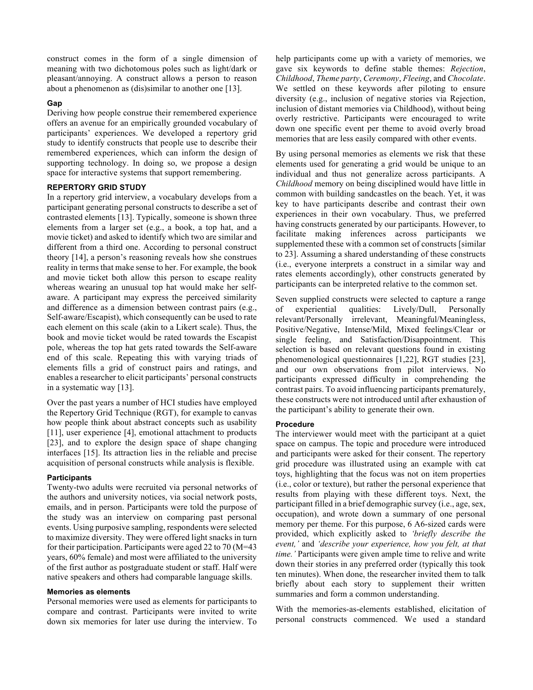construct comes in the form of a single dimension of meaning with two dichotomous poles such as light/dark or pleasant/annoying. A construct allows a person to reason about a phenomenon as (dis)similar to another one [13].

#### **Gap**

Deriving how people construe their remembered experience offers an avenue for an empirically grounded vocabulary of participants' experiences. We developed a repertory grid study to identify constructs that people use to describe their remembered experiences, which can inform the design of supporting technology. In doing so, we propose a design space for interactive systems that support remembering.

# **REPERTORY GRID STUDY**

In a repertory grid interview, a vocabulary develops from a participant generating personal constructs to describe a set of contrasted elements [13]. Typically, someone is shown three elements from a larger set (e.g., a book, a top hat, and a movie ticket) and asked to identify which two are similar and different from a third one. According to personal construct theory [14], a person's reasoning reveals how she construes reality in terms that make sense to her. For example, the book and movie ticket both allow this person to escape reality whereas wearing an unusual top hat would make her selfaware. A participant may express the perceived similarity and difference as a dimension between contrast pairs (e.g., Self-aware/Escapist), which consequently can be used to rate each element on this scale (akin to a Likert scale). Thus, the book and movie ticket would be rated towards the Escapist pole, whereas the top hat gets rated towards the Self-aware end of this scale. Repeating this with varying triads of elements fills a grid of construct pairs and ratings, and enables a researcher to elicit participants' personal constructs in a systematic way [13].

Over the past years a number of HCI studies have employed the Repertory Grid Technique (RGT), for example to canvas how people think about abstract concepts such as usability [11], user experience [4], emotional attachment to products [23], and to explore the design space of shape changing interfaces [15]. Its attraction lies in the reliable and precise acquisition of personal constructs while analysis is flexible.

#### **Participants**

Twenty-two adults were recruited via personal networks of the authors and university notices, via social network posts, emails, and in person. Participants were told the purpose of the study was an interview on comparing past personal events. Using purposive sampling, respondents were selected to maximize diversity. They were offered light snacks in turn for their participation. Participants were aged 22 to 70 (M=43 years, 60% female) and most were affiliated to the university of the first author as postgraduate student or staff. Half were native speakers and others had comparable language skills.

#### **Memories as elements**

Personal memories were used as elements for participants to compare and contrast. Participants were invited to write down six memories for later use during the interview. To help participants come up with a variety of memories, we gave six keywords to define stable themes: *Rejection*, *Childhood*, *Theme party*, *Ceremony*, *Fleeing*, and *Chocolate*. We settled on these keywords after piloting to ensure diversity (e.g., inclusion of negative stories via Rejection, inclusion of distant memories via Childhood), without being overly restrictive. Participants were encouraged to write down one specific event per theme to avoid overly broad memories that are less easily compared with other events.

By using personal memories as elements we risk that these elements used for generating a grid would be unique to an individual and thus not generalize across participants. A *Childhood* memory on being disciplined would have little in common with building sandcastles on the beach. Yet, it was key to have participants describe and contrast their own experiences in their own vocabulary. Thus, we preferred having constructs generated by our participants. However, to facilitate making inferences across participants we supplemented these with a common set of constructs [similar to 23]. Assuming a shared understanding of these constructs (i.e., everyone interprets a construct in a similar way and rates elements accordingly), other constructs generated by participants can be interpreted relative to the common set.

Seven supplied constructs were selected to capture a range of experiential qualities: Lively/Dull, Personally relevant/Personally irrelevant, Meaningful/Meaningless, Positive/Negative, Intense/Mild, Mixed feelings/Clear or single feeling, and Satisfaction/Disappointment. This selection is based on relevant questions found in existing phenomenological questionnaires [1,22], RGT studies [23], and our own observations from pilot interviews. No participants expressed difficulty in comprehending the contrast pairs. To avoid influencing participants prematurely, these constructs were not introduced until after exhaustion of the participant's ability to generate their own.

#### **Procedure**

The interviewer would meet with the participant at a quiet space on campus. The topic and procedure were introduced and participants were asked for their consent. The repertory grid procedure was illustrated using an example with cat toys, highlighting that the focus was not on item properties (i.e., color or texture), but rather the personal experience that results from playing with these different toys. Next, the participant filled in a brief demographic survey (i.e., age, sex, occupation), and wrote down a summary of one personal memory per theme. For this purpose, 6 A6-sized cards were provided, which explicitly asked to *'briefly describe the event,'* and *'describe your experience, how you felt, at that time.'* Participants were given ample time to relive and write down their stories in any preferred order (typically this took ten minutes). When done, the researcher invited them to talk briefly about each story to supplement their written summaries and form a common understanding.

With the memories-as-elements established, elicitation of personal constructs commenced. We used a standard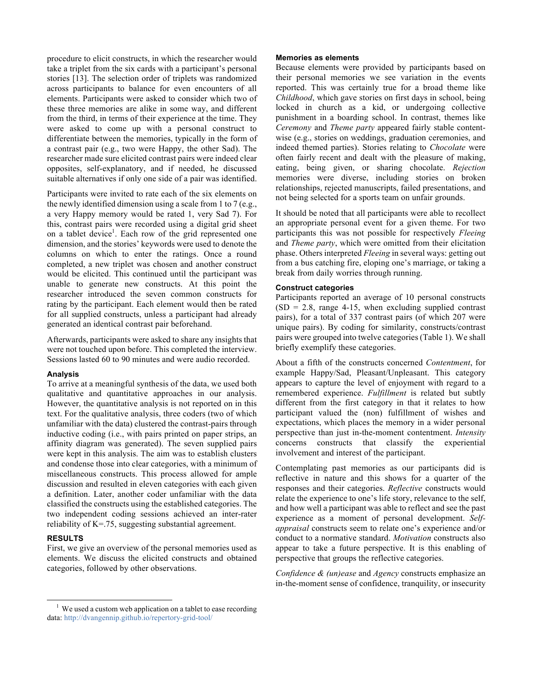procedure to elicit constructs, in which the researcher would take a triplet from the six cards with a participant's personal stories [13]. The selection order of triplets was randomized across participants to balance for even encounters of all elements. Participants were asked to consider which two of these three memories are alike in some way, and different from the third, in terms of their experience at the time. They were asked to come up with a personal construct to differentiate between the memories, typically in the form of a contrast pair (e.g., two were Happy, the other Sad). The researcher made sure elicited contrast pairs were indeed clear opposites, self-explanatory, and if needed, he discussed suitable alternatives if only one side of a pair was identified.

Participants were invited to rate each of the six elements on the newly identified dimension using a scale from 1 to 7 (e.g., a very Happy memory would be rated 1, very Sad 7). For this, contrast pairs were recorded using a digital grid sheet on a tablet device<sup>1</sup>. Each row of the grid represented one dimension, and the stories' keywords were used to denote the columns on which to enter the ratings. Once a round completed, a new triplet was chosen and another construct would be elicited. This continued until the participant was unable to generate new constructs. At this point the researcher introduced the seven common constructs for rating by the participant. Each element would then be rated for all supplied constructs, unless a participant had already generated an identical contrast pair beforehand.

Afterwards, participants were asked to share any insights that were not touched upon before. This completed the interview. Sessions lasted 60 to 90 minutes and were audio recorded.

#### **Analysis**

To arrive at a meaningful synthesis of the data, we used both qualitative and quantitative approaches in our analysis. However, the quantitative analysis is not reported on in this text. For the qualitative analysis, three coders (two of which unfamiliar with the data) clustered the contrast-pairs through inductive coding (i.e., with pairs printed on paper strips, an affinity diagram was generated). The seven supplied pairs were kept in this analysis. The aim was to establish clusters and condense those into clear categories, with a minimum of miscellaneous constructs. This process allowed for ample discussion and resulted in eleven categories with each given a definition. Later, another coder unfamiliar with the data classified the constructs using the established categories. The two independent coding sessions achieved an inter-rater reliability of Κ=.75, suggesting substantial agreement.

#### **RESULTS**

First, we give an overview of the personal memories used as elements. We discuss the elicited constructs and obtained categories, followed by other observations.

**Memories as elements**

Because elements were provided by participants based on their personal memories we see variation in the events reported. This was certainly true for a broad theme like *Childhood*, which gave stories on first days in school, being locked in church as a kid, or undergoing collective punishment in a boarding school. In contrast, themes like *Ceremony* and *Theme party* appeared fairly stable contentwise (e.g., stories on weddings, graduation ceremonies, and indeed themed parties). Stories relating to *Chocolate* were often fairly recent and dealt with the pleasure of making, eating, being given, or sharing chocolate. *Rejection* memories were diverse, including stories on broken relationships, rejected manuscripts, failed presentations, and not being selected for a sports team on unfair grounds.

It should be noted that all participants were able to recollect an appropriate personal event for a given theme. For two participants this was not possible for respectively *Fleeing* and *Theme party*, which were omitted from their elicitation phase. Others interpreted *Fleeing* in several ways: getting out from a bus catching fire, eloping one's marriage, or taking a break from daily worries through running.

#### **Construct categories**

Participants reported an average of 10 personal constructs  $(SD = 2.8, \text{ range } 4\n-15, \text{ when excluding supplied contrast}$ pairs), for a total of 337 contrast pairs (of which 207 were unique pairs). By coding for similarity, constructs/contrast pairs were grouped into twelve categories (Table 1). We shall briefly exemplify these categories.

About a fifth of the constructs concerned *Contentment*, for example Happy/Sad, Pleasant/Unpleasant. This category appears to capture the level of enjoyment with regard to a remembered experience. *Fulfillment* is related but subtly different from the first category in that it relates to how participant valued the (non) fulfillment of wishes and expectations, which places the memory in a wider personal perspective than just in-the-moment contentment. *Intensity* concerns constructs that classify the experiential involvement and interest of the participant.

Contemplating past memories as our participants did is reflective in nature and this shows for a quarter of the responses and their categories. *Reflective* constructs would relate the experience to one's life story, relevance to the self, and how well a participant was able to reflect and see the past experience as a moment of personal development. *Selfappraisal* constructs seem to relate one's experience and/or conduct to a normative standard. *Motivation* constructs also appear to take a future perspective. It is this enabling of perspective that groups the reflective categories.

*Confidence & (un)ease* and *Agency* constructs emphasize an in-the-moment sense of confidence, tranquility, or insecurity

 $1$  We used a custom web application on a tablet to ease recording data: http://dvangennip.github.io/repertory-grid-tool/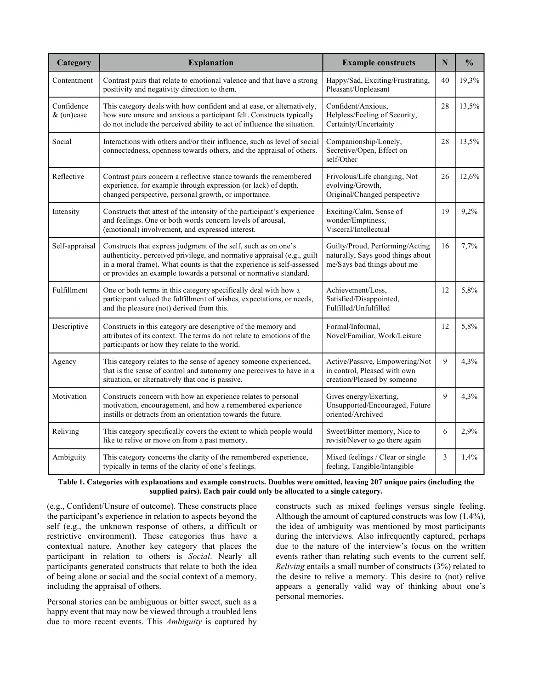| Category                   | <b>Explanation</b>                                                                                                                                                                                                                                                                      | <b>Example constructs</b>                                                                           | $\overline{\mathbf{N}}$ | $\frac{0}{0}$ |
|----------------------------|-----------------------------------------------------------------------------------------------------------------------------------------------------------------------------------------------------------------------------------------------------------------------------------------|-----------------------------------------------------------------------------------------------------|-------------------------|---------------|
| Contentment                | Contrast pairs that relate to emotional valence and that have a strong<br>positivity and negativity direction to them.                                                                                                                                                                  | Happy/Sad, Exciting/Frustrating,<br>Pleasant/Unpleasant                                             | 40                      | 19,3%         |
| Confidence<br>$&$ (un)ease | This category deals with how confident and at ease, or alternatively,<br>how sure unsure and anxious a participant felt. Constructs typically<br>do not include the perceived ability to act of influence the situation.                                                                | Confident/Anxious,<br>Helpless/Feeling of Security,<br>Certainty/Uncertainty                        | 28                      | 13,5%         |
| Social                     | Interactions with others and/or their influence, such as level of social<br>connectedness, openness towards others, and the appraisal of others.                                                                                                                                        | Companionship/Lonely,<br>Secretive/Open, Effect on<br>self/Other                                    | 28                      | 13,5%         |
| Reflective                 | Contrast pairs concern a reflective stance towards the remembered<br>experience, for example through expression (or lack) of depth,<br>changed perspective, personal growth, or importance.                                                                                             | Frivolous/Life changing, Not<br>evolving/Growth,<br>Original/Changed perspective                    | 26                      | 12,6%         |
| Intensity                  | Constructs that attest of the intensity of the participant's experience<br>and feelings. One or both words concern levels of arousal,<br>(emotional) involvement, and expressed interest.                                                                                               | Exciting/Calm, Sense of<br>wonder/Emptiness,<br>Visceral/Intellectual                               | 19                      | 9,2%          |
| Self-appraisal             | Constructs that express judgment of the self, such as on one's<br>authenticity, perceived privilege, and normative appraisal (e.g., guilt<br>in a moral frame). What counts is that the experience is self-assessed<br>or provides an example towards a personal or normative standard. | Guilty/Proud, Performing/Acting<br>naturally, Says good things about<br>me/Says bad things about me | 16                      | 7,7%          |
| Fulfillment                | One or both terms in this category specifically deal with how a<br>participant valued the fulfillment of wishes, expectations, or needs,<br>and the pleasure (not) derived from this.                                                                                                   | Achievement/Loss,<br>Satisfied/Disappointed,<br>Fulfilled/Unfulfilled                               | 12                      | 5,8%          |
| Descriptive                | Constructs in this category are descriptive of the memory and<br>attributes of its context. The terms do not relate to emotions of the<br>participants or how they relate to the world.                                                                                                 | Formal/Informal,<br>Novel/Familiar, Work/Leisure                                                    | 12                      | 5,8%          |
| Agency                     | This category relates to the sense of agency someone experienced,<br>that is the sense of control and autonomy one perceives to have in a<br>situation, or alternatively that one is passive.                                                                                           | Active/Passive, Empowering/Not<br>in control, Pleased with own<br>creation/Pleased by someone       | 9                       | 4,3%          |
| Motivation                 | Constructs concern with how an experience relates to personal<br>motivation, encouragement, and how a remembered experience<br>instills or detracts from an orientation towards the future.                                                                                             | Gives energy/Exerting,<br>Unsupported/Encouraged, Future<br>oriented/Archived                       | 9                       | 4,3%          |
| Reliving                   | This category specifically covers the extent to which people would<br>like to relive or move on from a past memory.                                                                                                                                                                     | Sweet/Bitter memory, Nice to<br>revisit/Never to go there again                                     | 6                       | 2,9%          |
| Ambiguity                  | This category concerns the clarity of the remembered experience,<br>typically in terms of the clarity of one's feelings.                                                                                                                                                                | Mixed feelings / Clear or single<br>feeling, Tangible/Intangible                                    | $\mathfrak{Z}$          | 1,4%          |

#### **Table 1. Categories with explanations and example constructs. Doubles were omitted, leaving 207 unique pairs (including the supplied pairs). Each pair could only be allocated to a single category.**

(e.g., Confident/Unsure of outcome). These constructs place the participant's experience in relation to aspects beyond the self (e.g., the unknown response of others, a difficult or restrictive environment). These categories thus have a contextual nature. Another key category that places the participant in relation to others is *Social*. Nearly all participants generated constructs that relate to both the idea of being alone or social and the social context of a memory, including the appraisal of others.

Personal stories can be ambiguous or bitter sweet, such as a happy event that may now be viewed through a troubled lens due to more recent events. This *Ambiguity* is captured by constructs such as mixed feelings versus single feeling. Although the amount of captured constructs was low (1.4%), the idea of ambiguity was mentioned by most participants during the interviews. Also infrequently captured, perhaps due to the nature of the interview's focus on the written events rather than relating such events to the current self, *Reliving* entails a small number of constructs (3%) related to the desire to relive a memory. This desire to (not) relive appears a generally valid way of thinking about one's personal memories.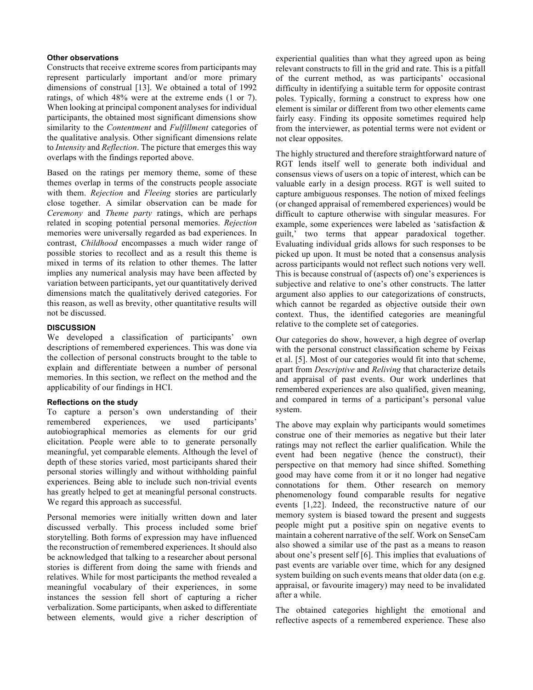#### **Other observations**

Constructs that receive extreme scores from participants may represent particularly important and/or more primary dimensions of construal [13]. We obtained a total of 1992 ratings, of which 48% were at the extreme ends (1 or 7). When looking at principal component analyses for individual participants, the obtained most significant dimensions show similarity to the *Contentment* and *Fulfillment* categories of the qualitative analysis. Other significant dimensions relate to *Intensity* and *Reflection*. The picture that emerges this way overlaps with the findings reported above.

Based on the ratings per memory theme, some of these themes overlap in terms of the constructs people associate with them. *Rejection* and *Fleeing* stories are particularly close together. A similar observation can be made for *Ceremony* and *Theme party* ratings, which are perhaps related in scoping potential personal memories. *Rejection* memories were universally regarded as bad experiences. In contrast, *Childhood* encompasses a much wider range of possible stories to recollect and as a result this theme is mixed in terms of its relation to other themes. The latter implies any numerical analysis may have been affected by variation between participants, yet our quantitatively derived dimensions match the qualitatively derived categories. For this reason, as well as brevity, other quantitative results will not be discussed.

### **DISCUSSION**

We developed a classification of participants' own descriptions of remembered experiences. This was done via the collection of personal constructs brought to the table to explain and differentiate between a number of personal memories. In this section, we reflect on the method and the applicability of our findings in HCI.

# **Reflections on the study**

To capture a person's own understanding of their<br>remembered experiences, we used participants' remembered experiences, we used autobiographical memories as elements for our grid elicitation. People were able to to generate personally meaningful, yet comparable elements. Although the level of depth of these stories varied, most participants shared their personal stories willingly and without withholding painful experiences. Being able to include such non-trivial events has greatly helped to get at meaningful personal constructs. We regard this approach as successful.

Personal memories were initially written down and later discussed verbally. This process included some brief storytelling. Both forms of expression may have influenced the reconstruction of remembered experiences. It should also be acknowledged that talking to a researcher about personal stories is different from doing the same with friends and relatives. While for most participants the method revealed a meaningful vocabulary of their experiences, in some instances the session fell short of capturing a richer verbalization. Some participants, when asked to differentiate between elements, would give a richer description of experiential qualities than what they agreed upon as being relevant constructs to fill in the grid and rate. This is a pitfall of the current method, as was participants' occasional difficulty in identifying a suitable term for opposite contrast poles. Typically, forming a construct to express how one element is similar or different from two other elements came fairly easy. Finding its opposite sometimes required help from the interviewer, as potential terms were not evident or not clear opposites.

The highly structured and therefore straightforward nature of RGT lends itself well to generate both individual and consensus views of users on a topic of interest, which can be valuable early in a design process. RGT is well suited to capture ambiguous responses. The notion of mixed feelings (or changed appraisal of remembered experiences) would be difficult to capture otherwise with singular measures. For example, some experiences were labeled as 'satisfaction & guilt,' two terms that appear paradoxical together. Evaluating individual grids allows for such responses to be picked up upon. It must be noted that a consensus analysis across participants would not reflect such notions very well. This is because construal of (aspects of) one's experiences is subjective and relative to one's other constructs. The latter argument also applies to our categorizations of constructs, which cannot be regarded as objective outside their own context. Thus, the identified categories are meaningful relative to the complete set of categories.

Our categories do show, however, a high degree of overlap with the personal construct classification scheme by Feixas et al. [5]. Most of our categories would fit into that scheme, apart from *Descriptive* and *Reliving* that characterize details and appraisal of past events. Our work underlines that remembered experiences are also qualified, given meaning, and compared in terms of a participant's personal value system.

The above may explain why participants would sometimes construe one of their memories as negative but their later ratings may not reflect the earlier qualification. While the event had been negative (hence the construct), their perspective on that memory had since shifted. Something good may have come from it or it no longer had negative connotations for them. Other research on memory phenomenology found comparable results for negative events [1,22]. Indeed, the reconstructive nature of our memory system is biased toward the present and suggests people might put a positive spin on negative events to maintain a coherent narrative of the self. Work on SenseCam also showed a similar use of the past as a means to reason about one's present self [6]. This implies that evaluations of past events are variable over time, which for any designed system building on such events means that older data (on e.g. appraisal, or favourite imagery) may need to be invalidated after a while.

The obtained categories highlight the emotional and reflective aspects of a remembered experience. These also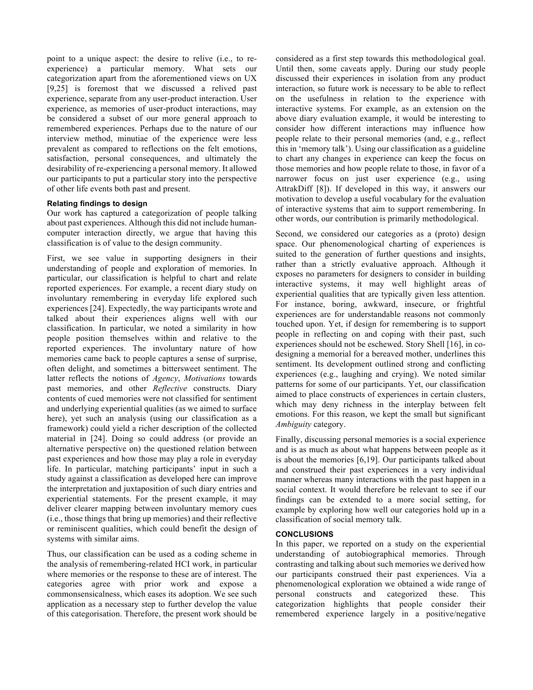point to a unique aspect: the desire to relive (i.e., to reexperience) a particular memory. What sets our categorization apart from the aforementioned views on UX [9,25] is foremost that we discussed a relived past experience, separate from any user-product interaction. User experience, as memories of user-product interactions, may be considered a subset of our more general approach to remembered experiences. Perhaps due to the nature of our interview method, minutiae of the experience were less prevalent as compared to reflections on the felt emotions, satisfaction, personal consequences, and ultimately the desirability of re-experiencing a personal memory. It allowed our participants to put a particular story into the perspective of other life events both past and present.

# **Relating findings to design**

Our work has captured a categorization of people talking about past experiences. Although this did not include humancomputer interaction directly, we argue that having this classification is of value to the design community.

First, we see value in supporting designers in their understanding of people and exploration of memories. In particular, our classification is helpful to chart and relate reported experiences. For example, a recent diary study on involuntary remembering in everyday life explored such experiences [24]. Expectedly, the way participants wrote and talked about their experiences aligns well with our classification. In particular, we noted a similarity in how people position themselves within and relative to the reported experiences. The involuntary nature of how memories came back to people captures a sense of surprise, often delight, and sometimes a bittersweet sentiment. The latter reflects the notions of *Agency*, *Motivations* towards past memories, and other *Reflective* constructs. Diary contents of cued memories were not classified for sentiment and underlying experiential qualities (as we aimed to surface here), yet such an analysis (using our classification as a framework) could yield a richer description of the collected material in [24]. Doing so could address (or provide an alternative perspective on) the questioned relation between past experiences and how those may play a role in everyday life. In particular, matching participants' input in such a study against a classification as developed here can improve the interpretation and juxtaposition of such diary entries and experiential statements. For the present example, it may deliver clearer mapping between involuntary memory cues (i.e., those things that bring up memories) and their reflective or reminiscent qualities, which could benefit the design of systems with similar aims.

Thus, our classification can be used as a coding scheme in the analysis of remembering-related HCI work, in particular where memories or the response to these are of interest. The categories agree with prior work and expose a commonsensicalness, which eases its adoption. We see such application as a necessary step to further develop the value of this categorisation. Therefore, the present work should be

considered as a first step towards this methodological goal. Until then, some caveats apply. During our study people discussed their experiences in isolation from any product interaction, so future work is necessary to be able to reflect on the usefulness in relation to the experience with interactive systems. For example, as an extension on the above diary evaluation example, it would be interesting to consider how different interactions may influence how people relate to their personal memories (and, e.g., reflect this in 'memory talk'). Using our classification as a guideline to chart any changes in experience can keep the focus on those memories and how people relate to those, in favor of a narrower focus on just user experience (e.g., using AttrakDiff [8]). If developed in this way, it answers our motivation to develop a useful vocabulary for the evaluation of interactive systems that aim to support remembering. In other words, our contribution is primarily methodological.

Second, we considered our categories as a (proto) design space. Our phenomenological charting of experiences is suited to the generation of further questions and insights, rather than a strictly evaluative approach. Although it exposes no parameters for designers to consider in building interactive systems, it may well highlight areas of experiential qualities that are typically given less attention. For instance, boring, awkward, insecure, or frightful experiences are for understandable reasons not commonly touched upon. Yet, if design for remembering is to support people in reflecting on and coping with their past, such experiences should not be eschewed. Story Shell [16], in codesigning a memorial for a bereaved mother, underlines this sentiment. Its development outlined strong and conflicting experiences (e.g., laughing and crying). We noted similar patterns for some of our participants. Yet, our classification aimed to place constructs of experiences in certain clusters, which may deny richness in the interplay between felt emotions. For this reason, we kept the small but significant *Ambiguity* category.

Finally, discussing personal memories is a social experience and is as much as about what happens between people as it is about the memories [6,19]. Our participants talked about and construed their past experiences in a very individual manner whereas many interactions with the past happen in a social context. It would therefore be relevant to see if our findings can be extended to a more social setting, for example by exploring how well our categories hold up in a classification of social memory talk.

# **CONCLUSIONS**

In this paper, we reported on a study on the experiential understanding of autobiographical memories. Through contrasting and talking about such memories we derived how our participants construed their past experiences. Via a phenomenological exploration we obtained a wide range of personal constructs and categorized these. This categorization highlights that people consider their remembered experience largely in a positive/negative